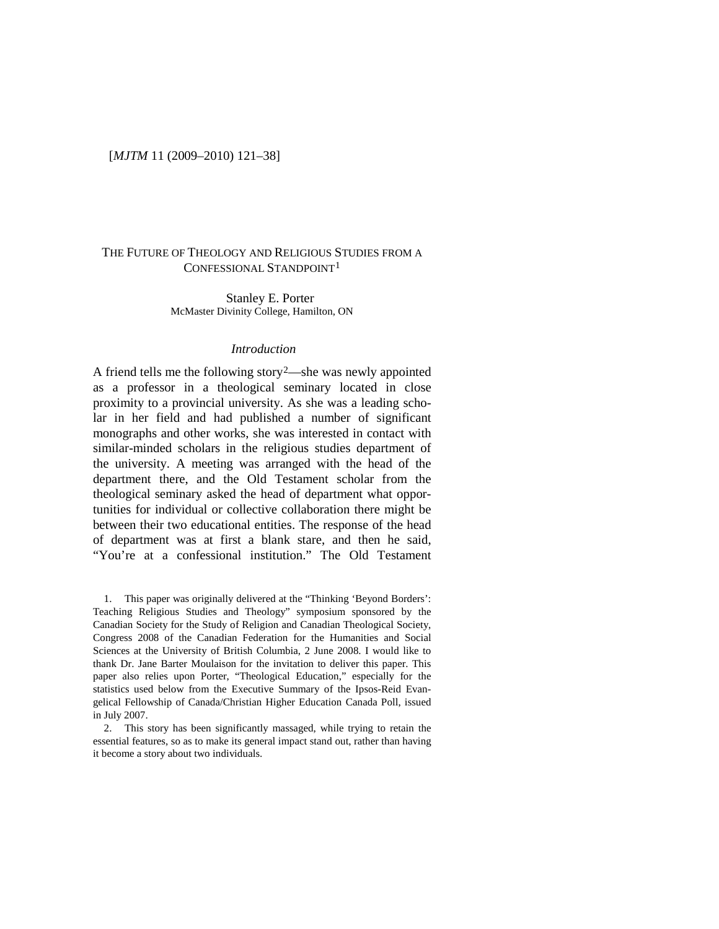#### [*MJTM* 11 (2009–2010) 121–38]

# THE FUTURE OF THEOLOGY AND RELIGIOUS STUDIES FROM A CONFESSIONAL STANDPOINT<sup>[1](#page-0-0)</sup>

Stanley E. Porter McMaster Divinity College, Hamilton, ON

#### *Introduction*

A friend tells me the following story<sup>2</sup>—she was newly appointed as a professor in a theological seminary located in close proximity to a provincial university. As she was a leading scholar in her field and had published a number of significant monographs and other works, she was interested in contact with similar-minded scholars in the religious studies department of the university. A meeting was arranged with the head of the department there, and the Old Testament scholar from the theological seminary asked the head of department what opportunities for individual or collective collaboration there might be between their two educational entities. The response of the head of department was at first a blank stare, and then he said, "You're at a confessional institution." The Old Testament

<span id="page-0-0"></span>1. This paper was originally delivered at the "Thinking 'Beyond Borders': Teaching Religious Studies and Theology" symposium sponsored by the Canadian Society for the Study of Religion and Canadian Theological Society, Congress 2008 of the Canadian Federation for the Humanities and Social Sciences at the University of British Columbia, 2 June 2008. I would like to thank Dr. Jane Barter Moulaison for the invitation to deliver this paper. This paper also relies upon Porter, "Theological Education," especially for the statistics used below from the Executive Summary of the Ipsos-Reid Evangelical Fellowship of Canada/Christian Higher Education Canada Poll, issued in July 2007.

<span id="page-0-1"></span>2. This story has been significantly massaged, while trying to retain the essential features, so as to make its general impact stand out, rather than having it become a story about two individuals.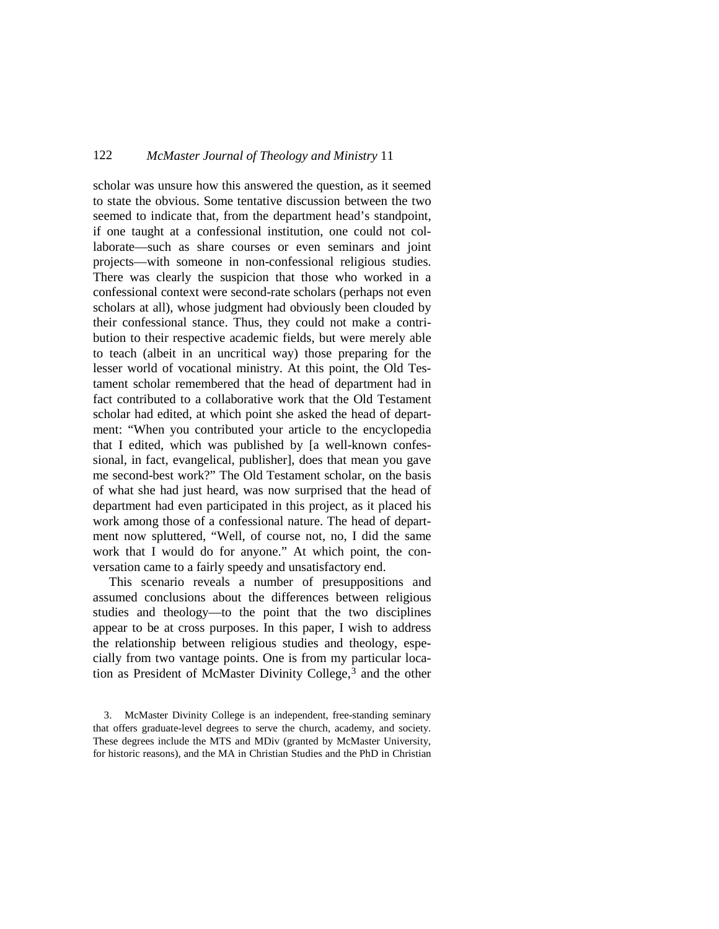scholar was unsure how this answered the question, as it seemed to state the obvious. Some tentative discussion between the two seemed to indicate that, from the department head's standpoint, if one taught at a confessional institution, one could not collaborate—such as share courses or even seminars and joint projects—with someone in non-confessional religious studies. There was clearly the suspicion that those who worked in a confessional context were second-rate scholars (perhaps not even scholars at all), whose judgment had obviously been clouded by their confessional stance. Thus, they could not make a contribution to their respective academic fields, but were merely able to teach (albeit in an uncritical way) those preparing for the lesser world of vocational ministry. At this point, the Old Testament scholar remembered that the head of department had in fact contributed to a collaborative work that the Old Testament scholar had edited, at which point she asked the head of department: "When you contributed your article to the encyclopedia that I edited, which was published by [a well-known confessional, in fact, evangelical, publisher], does that mean you gave me second-best work?" The Old Testament scholar, on the basis of what she had just heard, was now surprised that the head of department had even participated in this project, as it placed his work among those of a confessional nature. The head of department now spluttered, "Well, of course not, no, I did the same work that I would do for anyone." At which point, the conversation came to a fairly speedy and unsatisfactory end.

This scenario reveals a number of presuppositions and assumed conclusions about the differences between religious studies and theology—to the point that the two disciplines appear to be at cross purposes. In this paper, I wish to address the relationship between religious studies and theology, especially from two vantage points. One is from my particular location as President of McMaster Divinity College,[3](#page-1-0) and the other

<span id="page-1-0"></span><sup>3.</sup> McMaster Divinity College is an independent, free-standing seminary that offers graduate-level degrees to serve the church, academy, and society. These degrees include the MTS and MDiv (granted by McMaster University, for historic reasons), and the MA in Christian Studies and the PhD in Christian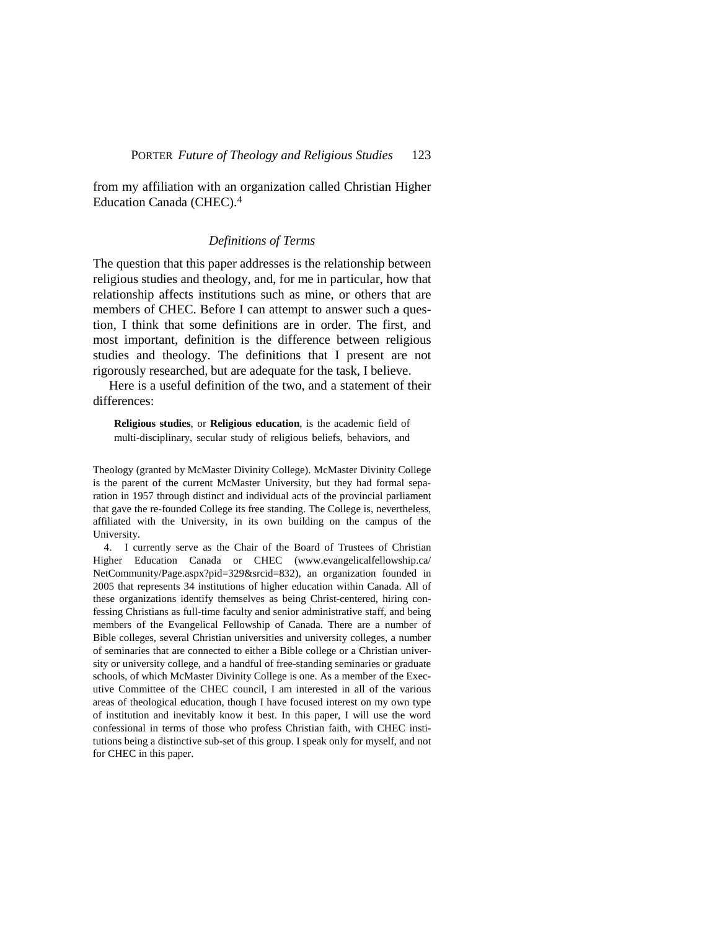from my affiliation with an organization called Christian Higher Education Canada (CHEC).[4](#page-2-0)

#### *Definitions of Terms*

The question that this paper addresses is the relationship between religious studies and theology, and, for me in particular, how that relationship affects institutions such as mine, or others that are members of CHEC. Before I can attempt to answer such a question, I think that some definitions are in order. The first, and most important, definition is the difference between religious studies and theology. The definitions that I present are not rigorously researched, but are adequate for the task, I believe.

Here is a useful definition of the two, and a statement of their differences:

**Religious studies**, or **Religious education**, is the academic field of multi-disciplinary, secular study of religious beliefs, behaviors, and

Theology (granted by McMaster Divinity College). McMaster Divinity College is the parent of the current McMaster University, but they had formal separation in 1957 through distinct and individual acts of the provincial parliament that gave the re-founded College its free standing. The College is, nevertheless, affiliated with the University, in its own building on the campus of the University.

<span id="page-2-0"></span>4. I currently serve as the Chair of the Board of Trustees of Christian Higher Education Canada or CHEC [\(www.evangelicalfellowship.ca/](http://www.evangelicalfellowship.ca/) NetCommunity/Page.aspx?pid=329&srcid=832), an organization founded in 2005 that represents 34 institutions of higher education within Canada. All of these organizations identify themselves as being Christ-centered, hiring confessing Christians as full-time faculty and senior administrative staff, and being members of the Evangelical Fellowship of Canada. There are a number of Bible colleges, several Christian universities and university colleges, a number of seminaries that are connected to either a Bible college or a Christian university or university college, and a handful of free-standing seminaries or graduate schools, of which McMaster Divinity College is one. As a member of the Executive Committee of the CHEC council, I am interested in all of the various areas of theological education, though I have focused interest on my own type of institution and inevitably know it best. In this paper, I will use the word confessional in terms of those who profess Christian faith, with CHEC institutions being a distinctive sub-set of this group. I speak only for myself, and not for CHEC in this paper.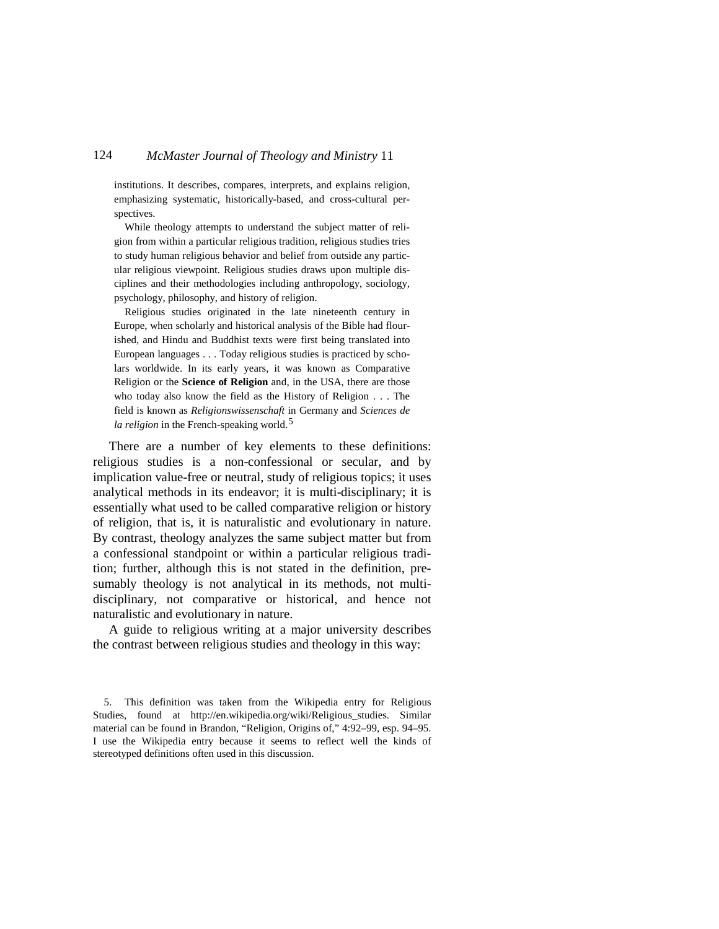institutions. It describes, compares, interprets, and explains religion, emphasizing systematic, historically-based, and cross-cultural perspectives.

While theology attempts to understand the subject matter of religion from within a particular religious tradition, religious studies tries to study human religious behavior and belief from outside any particular religious viewpoint. Religious studies draws upon multiple disciplines and their methodologies including anthropology, sociology, psychology, philosophy, and history of religion.

Religious studies originated in the late nineteenth century in Europe, when scholarly and historical analysis of the Bible had flourished, and Hindu and Buddhist texts were first being translated into European languages . . . Today religious studies is practiced by scholars worldwide. In its early years, it was known as Comparative Religion or the **Science of Religion** and, in the USA, there are those who today also know the field as the History of Religion . . . The field is known as *Religionswissenschaft* in Germany and *Sciences de la religion* in the French-speaking world.<sup>[5](#page-3-0)</sup>

There are a number of key elements to these definitions: religious studies is a non-confessional or secular, and by implication value-free or neutral, study of religious topics; it uses analytical methods in its endeavor; it is multi-disciplinary; it is essentially what used to be called comparative religion or history of religion, that is, it is naturalistic and evolutionary in nature. By contrast, theology analyzes the same subject matter but from a confessional standpoint or within a particular religious tradition; further, although this is not stated in the definition, presumably theology is not analytical in its methods, not multidisciplinary, not comparative or historical, and hence not naturalistic and evolutionary in nature.

A guide to religious writing at a major university describes the contrast between religious studies and theology in this way:

<span id="page-3-0"></span>5. This definition was taken from the Wikipedia entry for Religious Studies, found at [http://en.wikipedia.org/wiki/Religious\\_studies.](http://en.wikipedia.org/wiki/Religious_studies) Similar material can be found in Brandon, "Religion, Origins of," 4:92–99, esp. 94–95. I use the Wikipedia entry because it seems to reflect well the kinds of stereotyped definitions often used in this discussion.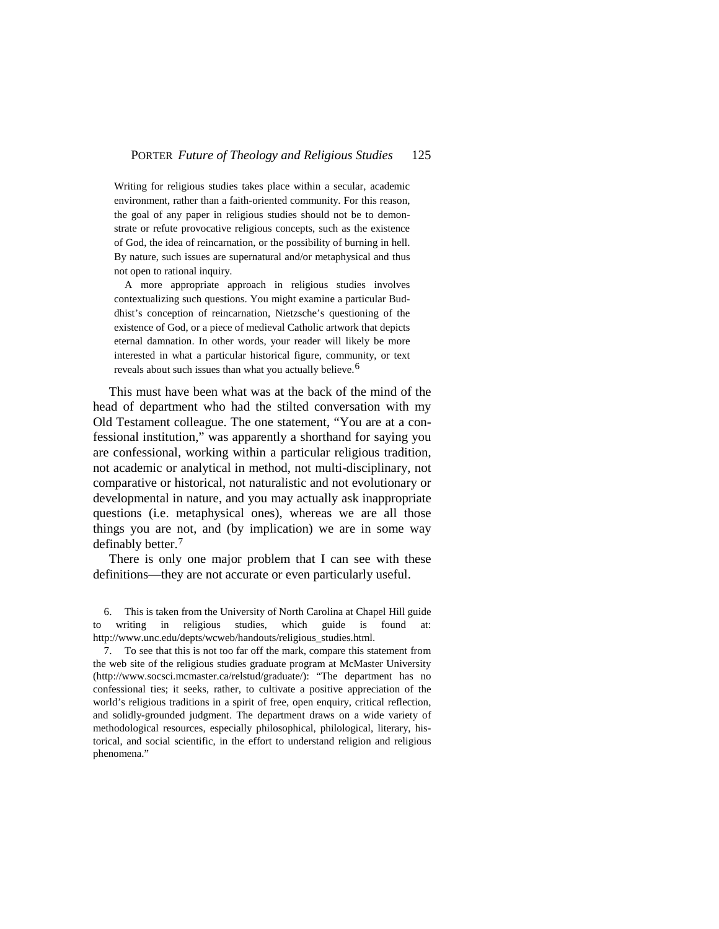Writing for religious studies takes place within a secular, academic environment, rather than a faith-oriented community. For this reason, the goal of any paper in religious studies should not be to demonstrate or refute provocative religious concepts, such as the existence of God, the idea of reincarnation, or the possibility of burning in hell. By nature, such issues are supernatural and/or metaphysical and thus not open to rational inquiry.

A more appropriate approach in religious studies involves contextualizing such questions. You might examine a particular Buddhist's conception of reincarnation, Nietzsche's questioning of the existence of God, or a piece of medieval Catholic artwork that depicts eternal damnation. In other words, your reader will likely be more interested in what a particular historical figure, community, or text reveals about such issues than what you actually believe.<sup>[6](#page-4-0)</sup>

This must have been what was at the back of the mind of the head of department who had the stilted conversation with my Old Testament colleague. The one statement, "You are at a confessional institution," was apparently a shorthand for saying you are confessional, working within a particular religious tradition, not academic or analytical in method, not multi-disciplinary, not comparative or historical, not naturalistic and not evolutionary or developmental in nature, and you may actually ask inappropriate questions (i.e. metaphysical ones), whereas we are all those things you are not, and (by implication) we are in some way definably better.[7](#page-4-1)

There is only one major problem that I can see with these definitions—they are not accurate or even particularly useful.

<span id="page-4-0"></span>6. This is taken from the University of North Carolina at Chapel Hill guide to writing in religious studies, which guide is found at: [http://www.unc.edu/depts/wcweb/handouts/r](http://www.unc.edu/depts/wcweb/handouts/)eligious\_studies.html.

<span id="page-4-1"></span>7. To see that this is not too far off the mark, compare this statement from the web site of the religious studies graduate program at McMaster University [\(http://www.socsci.m](http://www.socsci/)cmaster.ca/relstud/graduate/): "The department has no confessional ties; it seeks, rather, to cultivate a positive appreciation of the world's religious traditions in a spirit of free, open enquiry, critical reflection, and solidly-grounded judgment. The department draws on a wide variety of methodological resources, especially philosophical, philological, literary, historical, and social scientific, in the effort to understand religion and religious phenomena."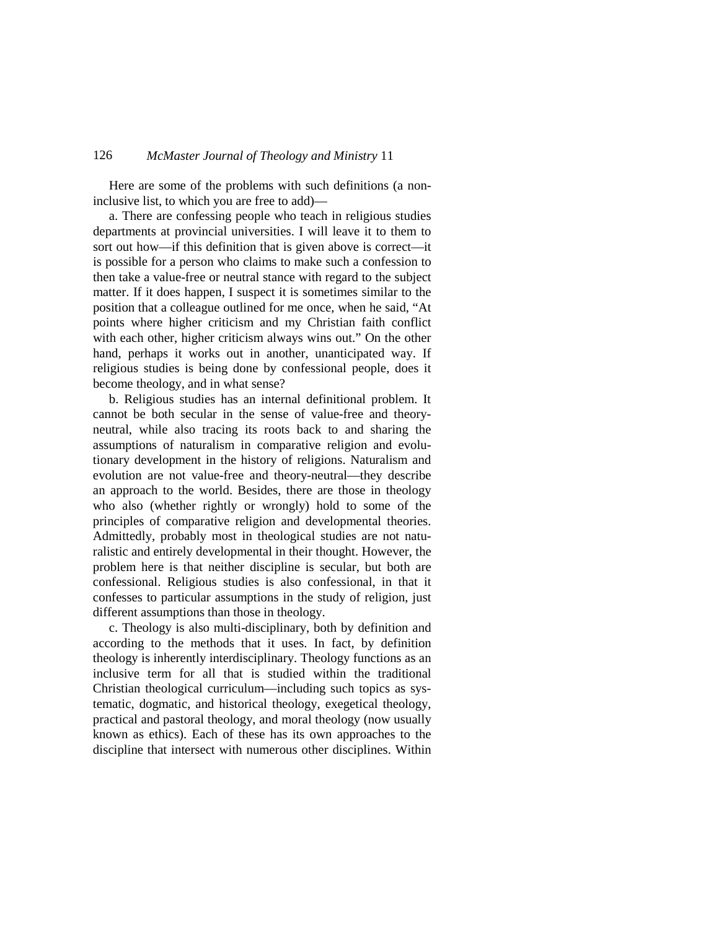Here are some of the problems with such definitions (a noninclusive list, to which you are free to add)—

a. There are confessing people who teach in religious studies departments at provincial universities. I will leave it to them to sort out how—if this definition that is given above is correct—it is possible for a person who claims to make such a confession to then take a value-free or neutral stance with regard to the subject matter. If it does happen, I suspect it is sometimes similar to the position that a colleague outlined for me once, when he said, "At points where higher criticism and my Christian faith conflict with each other, higher criticism always wins out." On the other hand, perhaps it works out in another, unanticipated way. If religious studies is being done by confessional people, does it become theology, and in what sense?

b. Religious studies has an internal definitional problem. It cannot be both secular in the sense of value-free and theoryneutral, while also tracing its roots back to and sharing the assumptions of naturalism in comparative religion and evolutionary development in the history of religions. Naturalism and evolution are not value-free and theory-neutral—they describe an approach to the world. Besides, there are those in theology who also (whether rightly or wrongly) hold to some of the principles of comparative religion and developmental theories. Admittedly, probably most in theological studies are not naturalistic and entirely developmental in their thought. However, the problem here is that neither discipline is secular, but both are confessional. Religious studies is also confessional, in that it confesses to particular assumptions in the study of religion, just different assumptions than those in theology.

c. Theology is also multi-disciplinary, both by definition and according to the methods that it uses. In fact, by definition theology is inherently interdisciplinary. Theology functions as an inclusive term for all that is studied within the traditional Christian theological curriculum—including such topics as systematic, dogmatic, and historical theology, exegetical theology, practical and pastoral theology, and moral theology (now usually known as ethics). Each of these has its own approaches to the discipline that intersect with numerous other disciplines. Within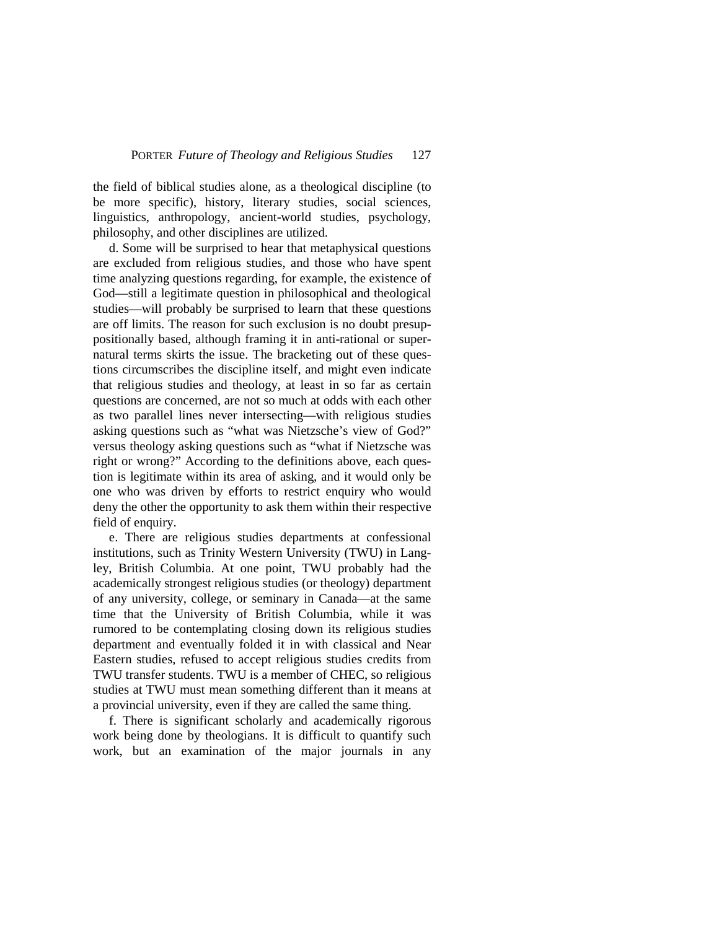the field of biblical studies alone, as a theological discipline (to be more specific), history, literary studies, social sciences, linguistics, anthropology, ancient-world studies, psychology, philosophy, and other disciplines are utilized.

d. Some will be surprised to hear that metaphysical questions are excluded from religious studies, and those who have spent time analyzing questions regarding, for example, the existence of God—still a legitimate question in philosophical and theological studies—will probably be surprised to learn that these questions are off limits. The reason for such exclusion is no doubt presuppositionally based, although framing it in anti-rational or supernatural terms skirts the issue. The bracketing out of these questions circumscribes the discipline itself, and might even indicate that religious studies and theology, at least in so far as certain questions are concerned, are not so much at odds with each other as two parallel lines never intersecting—with religious studies asking questions such as "what was Nietzsche's view of God?" versus theology asking questions such as "what if Nietzsche was right or wrong?" According to the definitions above, each question is legitimate within its area of asking, and it would only be one who was driven by efforts to restrict enquiry who would deny the other the opportunity to ask them within their respective field of enquiry.

e. There are religious studies departments at confessional institutions, such as Trinity Western University (TWU) in Langley, British Columbia. At one point, TWU probably had the academically strongest religious studies (or theology) department of any university, college, or seminary in Canada—at the same time that the University of British Columbia, while it was rumored to be contemplating closing down its religious studies department and eventually folded it in with classical and Near Eastern studies, refused to accept religious studies credits from TWU transfer students. TWU is a member of CHEC, so religious studies at TWU must mean something different than it means at a provincial university, even if they are called the same thing.

f. There is significant scholarly and academically rigorous work being done by theologians. It is difficult to quantify such work, but an examination of the major journals in any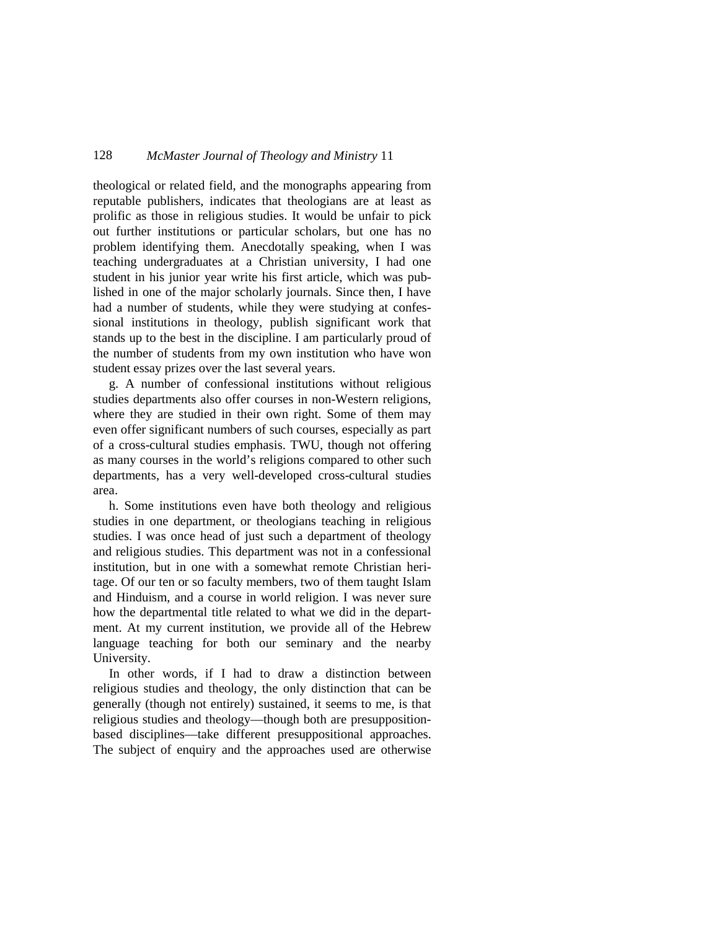theological or related field, and the monographs appearing from reputable publishers, indicates that theologians are at least as prolific as those in religious studies. It would be unfair to pick out further institutions or particular scholars, but one has no problem identifying them. Anecdotally speaking, when I was teaching undergraduates at a Christian university, I had one student in his junior year write his first article, which was published in one of the major scholarly journals. Since then, I have had a number of students, while they were studying at confessional institutions in theology, publish significant work that stands up to the best in the discipline. I am particularly proud of the number of students from my own institution who have won student essay prizes over the last several years.

g. A number of confessional institutions without religious studies departments also offer courses in non-Western religions, where they are studied in their own right. Some of them may even offer significant numbers of such courses, especially as part of a cross-cultural studies emphasis. TWU, though not offering as many courses in the world's religions compared to other such departments, has a very well-developed cross-cultural studies area.

h. Some institutions even have both theology and religious studies in one department, or theologians teaching in religious studies. I was once head of just such a department of theology and religious studies. This department was not in a confessional institution, but in one with a somewhat remote Christian heritage. Of our ten or so faculty members, two of them taught Islam and Hinduism, and a course in world religion. I was never sure how the departmental title related to what we did in the department. At my current institution, we provide all of the Hebrew language teaching for both our seminary and the nearby University.

In other words, if I had to draw a distinction between religious studies and theology, the only distinction that can be generally (though not entirely) sustained, it seems to me, is that religious studies and theology—though both are presuppositionbased disciplines—take different presuppositional approaches. The subject of enquiry and the approaches used are otherwise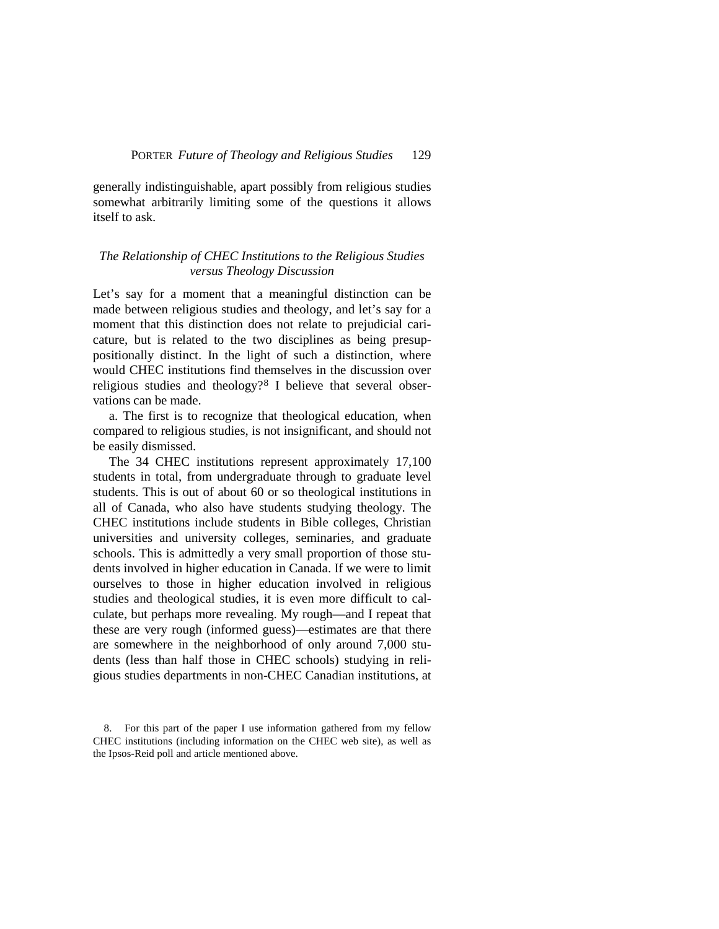generally indistinguishable, apart possibly from religious studies somewhat arbitrarily limiting some of the questions it allows itself to ask.

#### *The Relationship of CHEC Institutions to the Religious Studies versus Theology Discussion*

Let's say for a moment that a meaningful distinction can be made between religious studies and theology, and let's say for a moment that this distinction does not relate to prejudicial caricature, but is related to the two disciplines as being presuppositionally distinct. In the light of such a distinction, where would CHEC institutions find themselves in the discussion over religious studies and theology?<sup>[8](#page-8-0)</sup> I believe that several observations can be made.

a. The first is to recognize that theological education, when compared to religious studies, is not insignificant, and should not be easily dismissed.

The 34 CHEC institutions represent approximately 17,100 students in total, from undergraduate through to graduate level students. This is out of about 60 or so theological institutions in all of Canada, who also have students studying theology. The CHEC institutions include students in Bible colleges, Christian universities and university colleges, seminaries, and graduate schools. This is admittedly a very small proportion of those students involved in higher education in Canada. If we were to limit ourselves to those in higher education involved in religious studies and theological studies, it is even more difficult to calculate, but perhaps more revealing. My rough—and I repeat that these are very rough (informed guess)—estimates are that there are somewhere in the neighborhood of only around 7,000 students (less than half those in CHEC schools) studying in religious studies departments in non-CHEC Canadian institutions, at

<span id="page-8-0"></span><sup>8.</sup> For this part of the paper I use information gathered from my fellow CHEC institutions (including information on the CHEC web site), as well as the Ipsos-Reid poll and article mentioned above.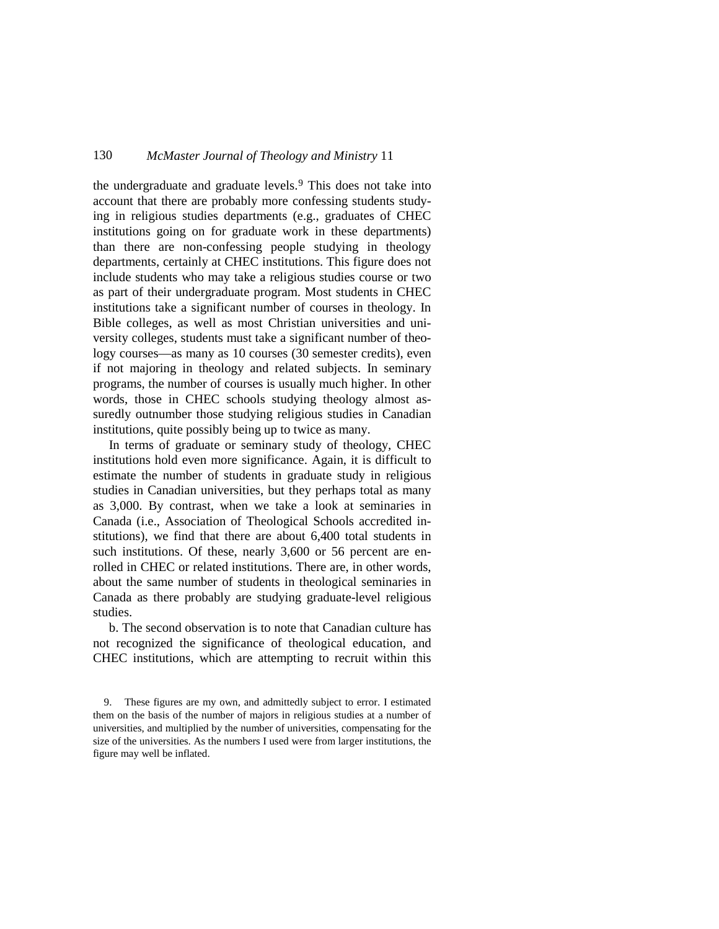the undergraduate and graduate levels.<sup>[9](#page-9-0)</sup> This does not take into account that there are probably more confessing students studying in religious studies departments (e.g., graduates of CHEC institutions going on for graduate work in these departments) than there are non-confessing people studying in theology departments, certainly at CHEC institutions. This figure does not include students who may take a religious studies course or two as part of their undergraduate program. Most students in CHEC institutions take a significant number of courses in theology. In Bible colleges, as well as most Christian universities and university colleges, students must take a significant number of theology courses—as many as 10 courses (30 semester credits), even if not majoring in theology and related subjects. In seminary programs, the number of courses is usually much higher. In other words, those in CHEC schools studying theology almost assuredly outnumber those studying religious studies in Canadian institutions, quite possibly being up to twice as many.

In terms of graduate or seminary study of theology, CHEC institutions hold even more significance. Again, it is difficult to estimate the number of students in graduate study in religious studies in Canadian universities, but they perhaps total as many as 3,000. By contrast, when we take a look at seminaries in Canada (i.e., Association of Theological Schools accredited institutions), we find that there are about 6,400 total students in such institutions. Of these, nearly 3,600 or 56 percent are enrolled in CHEC or related institutions. There are, in other words, about the same number of students in theological seminaries in Canada as there probably are studying graduate-level religious studies.

b. The second observation is to note that Canadian culture has not recognized the significance of theological education, and CHEC institutions, which are attempting to recruit within this

<span id="page-9-0"></span><sup>9.</sup> These figures are my own, and admittedly subject to error. I estimated them on the basis of the number of majors in religious studies at a number of universities, and multiplied by the number of universities, compensating for the size of the universities. As the numbers I used were from larger institutions, the figure may well be inflated.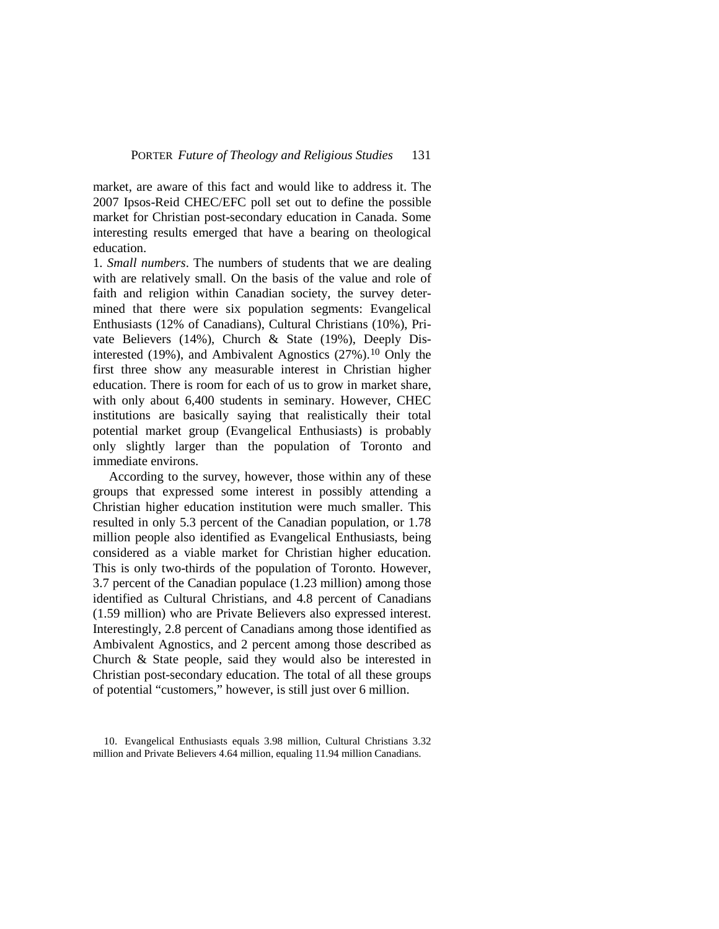market, are aware of this fact and would like to address it. The 2007 Ipsos-Reid CHEC/EFC poll set out to define the possible market for Christian post-secondary education in Canada. Some interesting results emerged that have a bearing on theological education.

1. *Small numbers*. The numbers of students that we are dealing with are relatively small. On the basis of the value and role of faith and religion within Canadian society, the survey determined that there were six population segments: Evangelical Enthusiasts (12% of Canadians), Cultural Christians (10%), Private Believers (14%), Church & State (19%), Deeply Disinterested (19%), and Ambivalent Agnostics (27%).<sup>10</sup> Only the first three show any measurable interest in Christian higher education. There is room for each of us to grow in market share, with only about 6,400 students in seminary. However, CHEC institutions are basically saying that realistically their total potential market group (Evangelical Enthusiasts) is probably only slightly larger than the population of Toronto and immediate environs.

According to the survey, however, those within any of these groups that expressed some interest in possibly attending a Christian higher education institution were much smaller. This resulted in only 5.3 percent of the Canadian population, or 1.78 million people also identified as Evangelical Enthusiasts, being considered as a viable market for Christian higher education. This is only two-thirds of the population of Toronto. However, 3.7 percent of the Canadian populace (1.23 million) among those identified as Cultural Christians, and 4.8 percent of Canadians (1.59 million) who are Private Believers also expressed interest. Interestingly, 2.8 percent of Canadians among those identified as Ambivalent Agnostics, and 2 percent among those described as Church & State people, said they would also be interested in Christian post-secondary education. The total of all these groups of potential "customers," however, is still just over 6 million.

<span id="page-10-0"></span><sup>10.</sup> Evangelical Enthusiasts equals 3.98 million, Cultural Christians 3.32 million and Private Believers 4.64 million, equaling 11.94 million Canadians.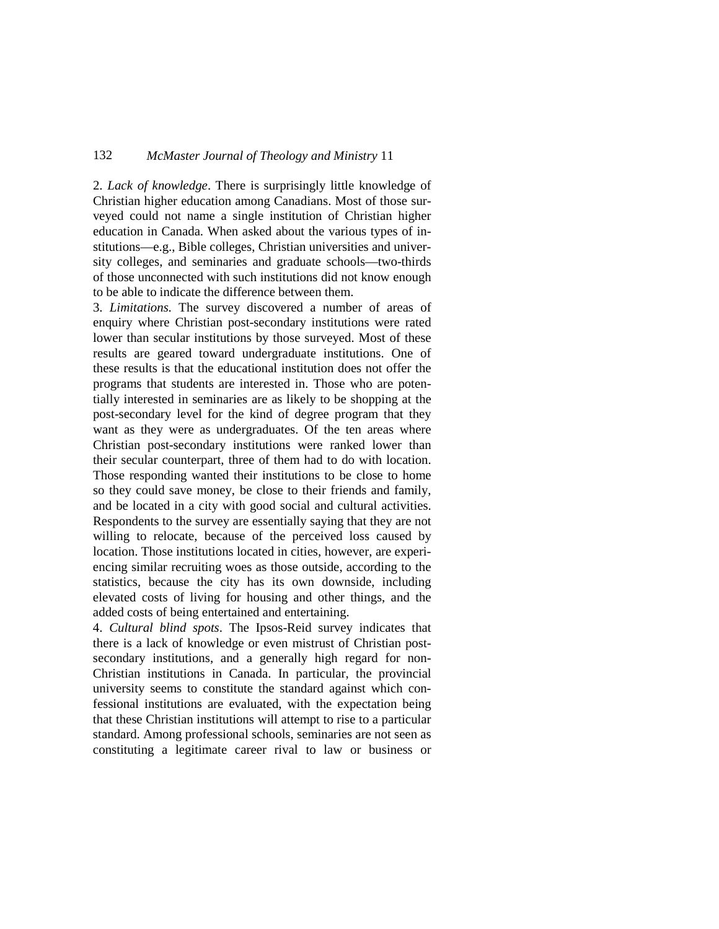2. *Lack of knowledge*. There is surprisingly little knowledge of Christian higher education among Canadians. Most of those surveyed could not name a single institution of Christian higher education in Canada. When asked about the various types of institutions—e.g., Bible colleges, Christian universities and university colleges, and seminaries and graduate schools—two-thirds of those unconnected with such institutions did not know enough to be able to indicate the difference between them.

3. *Limitations.* The survey discovered a number of areas of enquiry where Christian post-secondary institutions were rated lower than secular institutions by those surveyed. Most of these results are geared toward undergraduate institutions. One of these results is that the educational institution does not offer the programs that students are interested in. Those who are potentially interested in seminaries are as likely to be shopping at the post-secondary level for the kind of degree program that they want as they were as undergraduates. Of the ten areas where Christian post-secondary institutions were ranked lower than their secular counterpart, three of them had to do with location. Those responding wanted their institutions to be close to home so they could save money, be close to their friends and family, and be located in a city with good social and cultural activities. Respondents to the survey are essentially saying that they are not willing to relocate, because of the perceived loss caused by location. Those institutions located in cities, however, are experiencing similar recruiting woes as those outside, according to the statistics, because the city has its own downside, including elevated costs of living for housing and other things, and the added costs of being entertained and entertaining.

4. *Cultural blind spots*. The Ipsos-Reid survey indicates that there is a lack of knowledge or even mistrust of Christian postsecondary institutions, and a generally high regard for non-Christian institutions in Canada. In particular, the provincial university seems to constitute the standard against which confessional institutions are evaluated, with the expectation being that these Christian institutions will attempt to rise to a particular standard. Among professional schools, seminaries are not seen as constituting a legitimate career rival to law or business or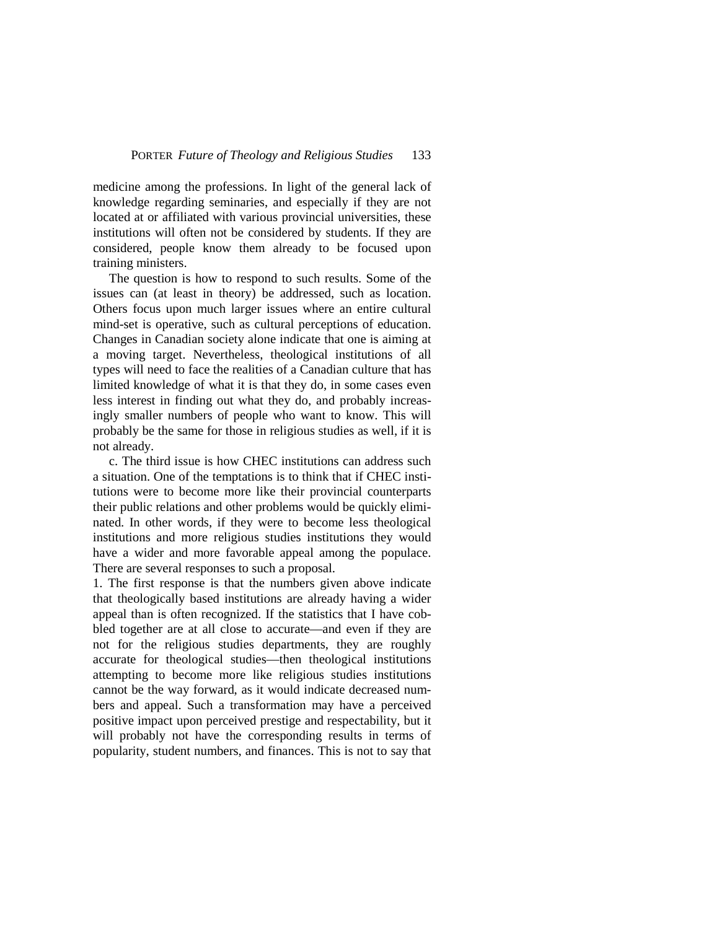medicine among the professions. In light of the general lack of knowledge regarding seminaries, and especially if they are not located at or affiliated with various provincial universities, these institutions will often not be considered by students. If they are considered, people know them already to be focused upon training ministers.

The question is how to respond to such results. Some of the issues can (at least in theory) be addressed, such as location. Others focus upon much larger issues where an entire cultural mind-set is operative, such as cultural perceptions of education. Changes in Canadian society alone indicate that one is aiming at a moving target. Nevertheless, theological institutions of all types will need to face the realities of a Canadian culture that has limited knowledge of what it is that they do, in some cases even less interest in finding out what they do, and probably increasingly smaller numbers of people who want to know. This will probably be the same for those in religious studies as well, if it is not already.

c. The third issue is how CHEC institutions can address such a situation. One of the temptations is to think that if CHEC institutions were to become more like their provincial counterparts their public relations and other problems would be quickly eliminated. In other words, if they were to become less theological institutions and more religious studies institutions they would have a wider and more favorable appeal among the populace. There are several responses to such a proposal.

1. The first response is that the numbers given above indicate that theologically based institutions are already having a wider appeal than is often recognized. If the statistics that I have cobbled together are at all close to accurate—and even if they are not for the religious studies departments, they are roughly accurate for theological studies—then theological institutions attempting to become more like religious studies institutions cannot be the way forward, as it would indicate decreased numbers and appeal. Such a transformation may have a perceived positive impact upon perceived prestige and respectability, but it will probably not have the corresponding results in terms of popularity, student numbers, and finances. This is not to say that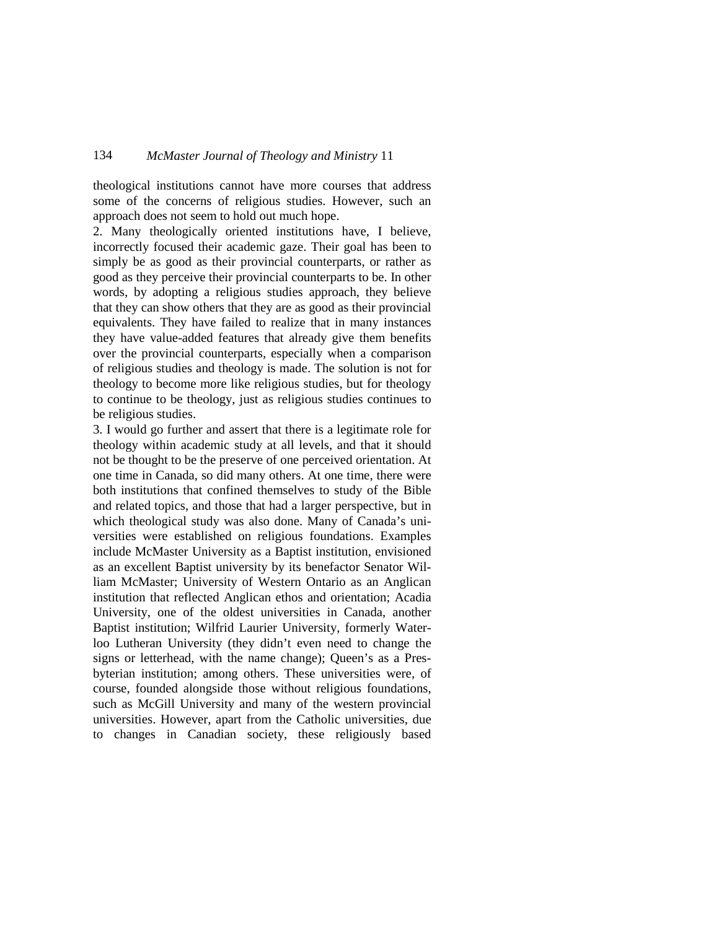theological institutions cannot have more courses that address some of the concerns of religious studies. However, such an approach does not seem to hold out much hope.

2. Many theologically oriented institutions have, I believe, incorrectly focused their academic gaze. Their goal has been to simply be as good as their provincial counterparts, or rather as good as they perceive their provincial counterparts to be. In other words, by adopting a religious studies approach, they believe that they can show others that they are as good as their provincial equivalents. They have failed to realize that in many instances they have value-added features that already give them benefits over the provincial counterparts, especially when a comparison of religious studies and theology is made. The solution is not for theology to become more like religious studies, but for theology to continue to be theology, just as religious studies continues to be religious studies.

3. I would go further and assert that there is a legitimate role for theology within academic study at all levels, and that it should not be thought to be the preserve of one perceived orientation. At one time in Canada, so did many others. At one time, there were both institutions that confined themselves to study of the Bible and related topics, and those that had a larger perspective, but in which theological study was also done. Many of Canada's universities were established on religious foundations. Examples include McMaster University as a Baptist institution, envisioned as an excellent Baptist university by its benefactor Senator William McMaster; University of Western Ontario as an Anglican institution that reflected Anglican ethos and orientation; Acadia University, one of the oldest universities in Canada, another Baptist institution; Wilfrid Laurier University, formerly Waterloo Lutheran University (they didn't even need to change the signs or letterhead, with the name change); Queen's as a Presbyterian institution; among others. These universities were, of course, founded alongside those without religious foundations, such as McGill University and many of the western provincial universities. However, apart from the Catholic universities, due to changes in Canadian society, these religiously based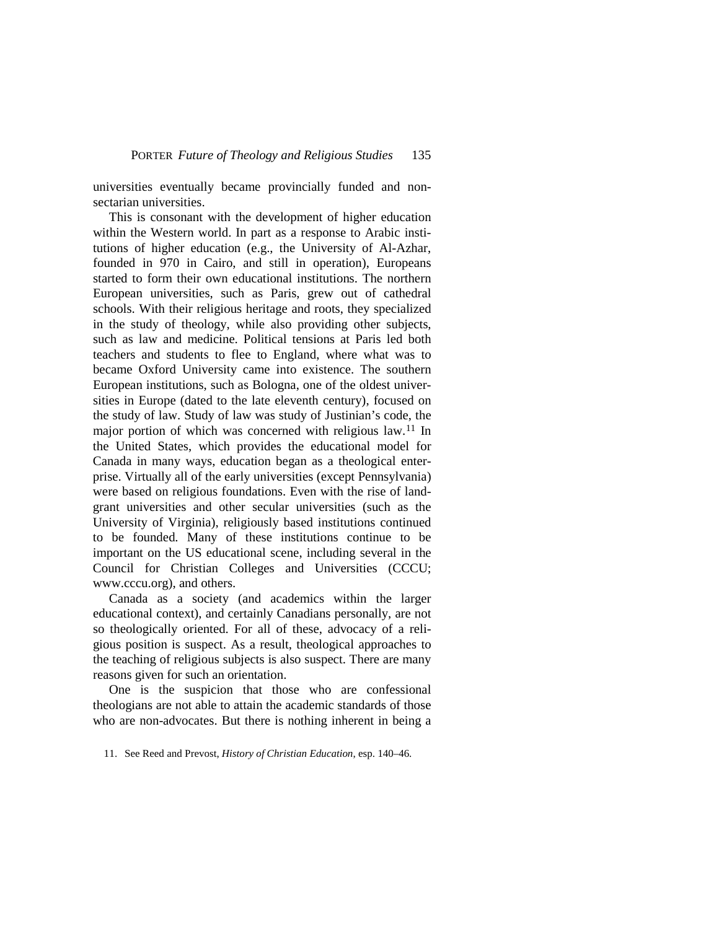universities eventually became provincially funded and nonsectarian universities.

This is consonant with the development of higher education within the Western world. In part as a response to Arabic institutions of higher education (e.g., the University of Al-Azhar, founded in 970 in Cairo, and still in operation), Europeans started to form their own educational institutions. The northern European universities, such as Paris, grew out of cathedral schools. With their religious heritage and roots, they specialized in the study of theology, while also providing other subjects, such as law and medicine. Political tensions at Paris led both teachers and students to flee to England, where what was to became Oxford University came into existence. The southern European institutions, such as Bologna, one of the oldest universities in Europe (dated to the late eleventh century), focused on the study of law. Study of law was study of Justinian's code, the major portion of which was concerned with religious law.[11](#page-14-0) In the United States, which provides the educational model for Canada in many ways, education began as a theological enterprise. Virtually all of the early universities (except Pennsylvania) were based on religious foundations. Even with the rise of landgrant universities and other secular universities (such as the University of Virginia), religiously based institutions continued to be founded. Many of these institutions continue to be important on the US educational scene, including several in the Council for Christian Colleges and Universities (CCCU; www.cccu.org), and others.

Canada as a society (and academics within the larger educational context), and certainly Canadians personally, are not so theologically oriented. For all of these, advocacy of a religious position is suspect. As a result, theological approaches to the teaching of religious subjects is also suspect. There are many reasons given for such an orientation.

One is the suspicion that those who are confessional theologians are not able to attain the academic standards of those who are non-advocates. But there is nothing inherent in being a

<span id="page-14-0"></span><sup>11.</sup> See Reed and Prevost, *History of Christian Education*, esp. 140–46.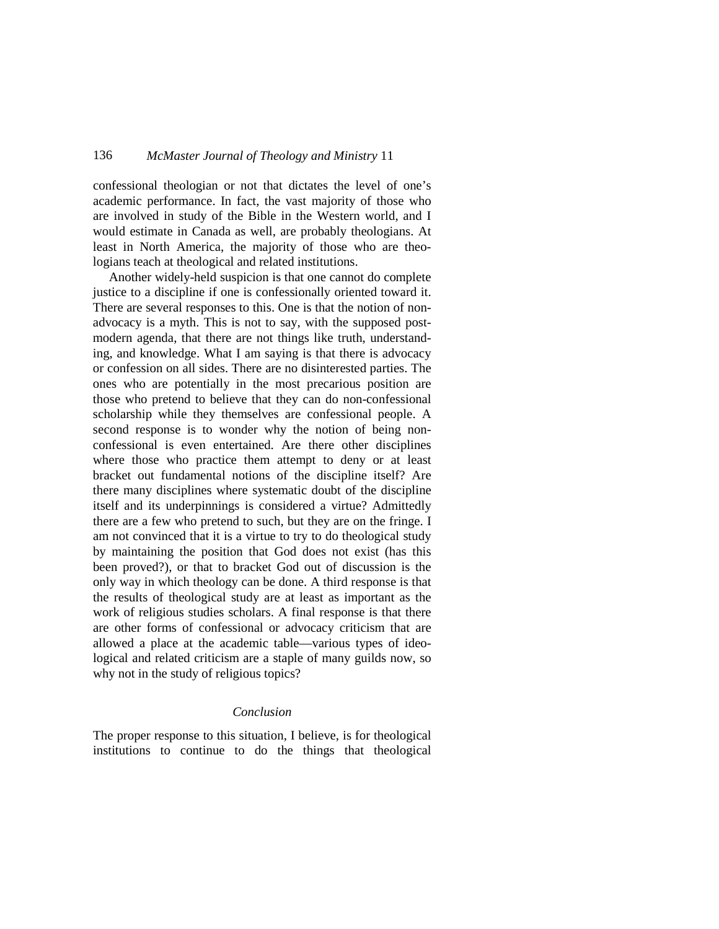confessional theologian or not that dictates the level of one's academic performance. In fact, the vast majority of those who are involved in study of the Bible in the Western world, and I would estimate in Canada as well, are probably theologians. At least in North America, the majority of those who are theologians teach at theological and related institutions.

Another widely-held suspicion is that one cannot do complete justice to a discipline if one is confessionally oriented toward it. There are several responses to this. One is that the notion of nonadvocacy is a myth. This is not to say, with the supposed postmodern agenda, that there are not things like truth, understanding, and knowledge. What I am saying is that there is advocacy or confession on all sides. There are no disinterested parties. The ones who are potentially in the most precarious position are those who pretend to believe that they can do non-confessional scholarship while they themselves are confessional people. A second response is to wonder why the notion of being nonconfessional is even entertained. Are there other disciplines where those who practice them attempt to deny or at least bracket out fundamental notions of the discipline itself? Are there many disciplines where systematic doubt of the discipline itself and its underpinnings is considered a virtue? Admittedly there are a few who pretend to such, but they are on the fringe. I am not convinced that it is a virtue to try to do theological study by maintaining the position that God does not exist (has this been proved?), or that to bracket God out of discussion is the only way in which theology can be done. A third response is that the results of theological study are at least as important as the work of religious studies scholars. A final response is that there are other forms of confessional or advocacy criticism that are allowed a place at the academic table—various types of ideological and related criticism are a staple of many guilds now, so why not in the study of religious topics?

#### *Conclusion*

The proper response to this situation, I believe, is for theological institutions to continue to do the things that theological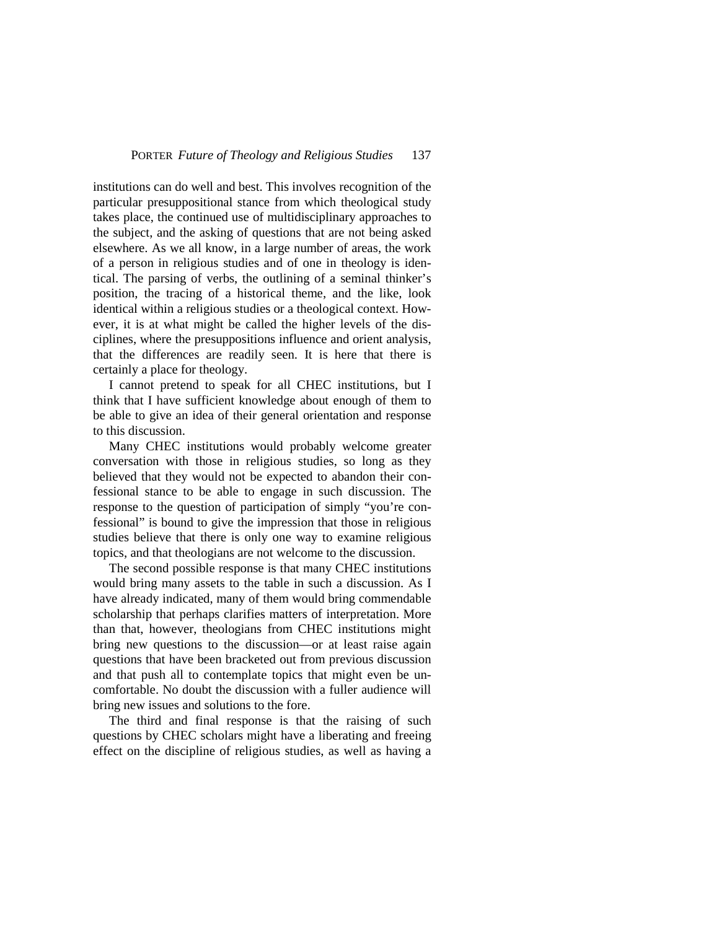institutions can do well and best. This involves recognition of the particular presuppositional stance from which theological study takes place, the continued use of multidisciplinary approaches to the subject, and the asking of questions that are not being asked elsewhere. As we all know, in a large number of areas, the work of a person in religious studies and of one in theology is identical. The parsing of verbs, the outlining of a seminal thinker's position, the tracing of a historical theme, and the like, look identical within a religious studies or a theological context. However, it is at what might be called the higher levels of the disciplines, where the presuppositions influence and orient analysis, that the differences are readily seen. It is here that there is certainly a place for theology.

I cannot pretend to speak for all CHEC institutions, but I think that I have sufficient knowledge about enough of them to be able to give an idea of their general orientation and response to this discussion.

Many CHEC institutions would probably welcome greater conversation with those in religious studies, so long as they believed that they would not be expected to abandon their confessional stance to be able to engage in such discussion. The response to the question of participation of simply "you're confessional" is bound to give the impression that those in religious studies believe that there is only one way to examine religious topics, and that theologians are not welcome to the discussion.

The second possible response is that many CHEC institutions would bring many assets to the table in such a discussion. As I have already indicated, many of them would bring commendable scholarship that perhaps clarifies matters of interpretation. More than that, however, theologians from CHEC institutions might bring new questions to the discussion—or at least raise again questions that have been bracketed out from previous discussion and that push all to contemplate topics that might even be uncomfortable. No doubt the discussion with a fuller audience will bring new issues and solutions to the fore.

The third and final response is that the raising of such questions by CHEC scholars might have a liberating and freeing effect on the discipline of religious studies, as well as having a